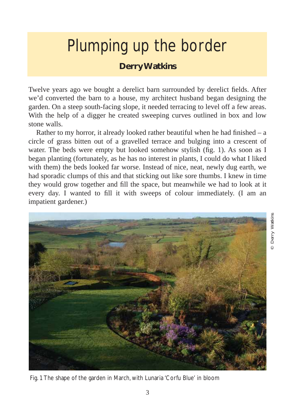## Plumping up the border

## **Derry Watkins**

Twelve years ago we bought a derelict barn surrounded by derelict fields. After we'd converted the barn to a house, my architect husband began designing the garden. On a steep south-facing slope, it needed terracing to level off a few areas. With the help of a digger he created sweeping curves outlined in box and low stone walls.

Rather to my horror, it already looked rather beautiful when he had finished – a circle of grass bitten out of a gravelled terrace and bulging into a crescent of water. The beds were empty but looked somehow stylish (fig. 1). As soon as I began planting (fortunately, as he has no interest in plants, I could do what I liked with them) the beds looked far worse. Instead of nice, neat, newly dug earth, we had sporadic clumps of this and that sticking out like sore thumbs. I knew in time they would grow together and fill the space, but meanwhile we had to look at it every day. I wanted to fill it with sweeps of colour immediately. (I am an impatient gardener.)



Fig. 1 The shape of the garden in March, with Lunaria 'Corfu Blue' in bloom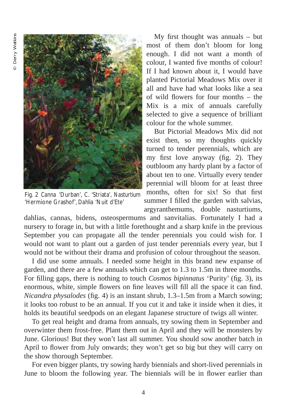

Fig. 2 *Canna* 'Durban', *C.* 'Striata', *Nasturtium* 'Hermione Grashof', *Dahlia* 'Nuit d'Ete'

My first thought was annuals – but most of them don't bloom for long enough. I did not want a month of colour, I wanted five months of colour! If I had known about it, I would have planted Pictorial Meadows Mix over it all and have had what looks like a sea of wild flowers for four months – the Mix is a mix of annuals carefully selected to give a sequence of brilliant colour for the whole summer.

But Pictorial Meadows Mix did not exist then, so my thoughts quickly turned to tender perennials, which are my first love anyway (fig. 2). They outbloom any hardy plant by a factor of about ten to one. Virtually every tender perennial will bloom for at least three months, often for six! So that first summer I filled the garden with salvias, argyranthemums, double nasturtiums,

dahlias, cannas, bidens, osteospermums and sanvitalias. Fortunately I had a nursery to forage in, but with a little forethought and a sharp knife in the previous September you can propagate all the tender perennials you could wish for. I would not want to plant out a garden of just tender perennials every year, but I would not be without their drama and profusion of colour throughout the season.

I did use some annuals. I needed some height in this brand new expanse of garden, and there are a few annuals which can get to 1.3 to 1.5m in three months. For filling gaps, there is nothing to touch *Cosmos bipinnatus* 'Purity' (fig. 3), its enormous, white, simple flowers on fine leaves will fill all the space it can find. *Nicandra physalodes* (fig. 4) is an instant shrub, 1.3–1.5m from a March sowing; it looks too robust to be an annual. If you cut it and take it inside when it dies, it holds its beautiful seedpods on an elegant Japanese structure of twigs all winter.

To get real height and drama from annuals, try sowing them in September and overwinter them frost-free. Plant them out in April and they will be monsters by June. Glorious! But they won't last all summer. You should sow another batch in April to flower from July onwards; they won't get so big but they will carry on the show thorough September.

For even bigger plants, try sowing hardy biennials and short-lived perennials in June to bloom the following year. The biennials will be in flower earlier than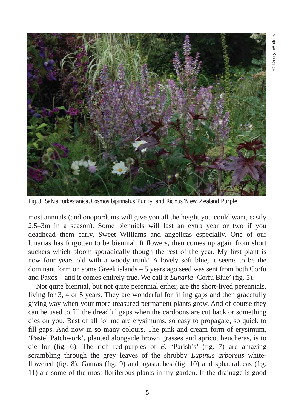

Fig. 3 *Salvia turkestanica*, *Cosmos bipinnatus* 'Purity' and *Ricinus* 'New Zealand Purple'

most annuals (and onopordums will give you all the height you could want, easily 2.5–3m in a season). Some biennials will last an extra year or two if you deadhead them early, Sweet Williams and angelicas especially. One of our lunarias has forgotten to be biennial. It flowers, then comes up again from short suckers which bloom sporadically though the rest of the year. My first plant is now four years old with a woody trunk! A lovely soft blue, it seems to be the dominant form on some Greek islands – 5 years ago seed was sent from both Corfu and Paxos – and it comes entirely true. We call it *Lunaria* 'Corfu Blue' (fig. 5).

Not quite biennial, but not quite perennial either, are the short-lived perennials, living for 3, 4 or 5 years. They are wonderful for filling gaps and then gracefully giving way when your more treasured permanent plants grow. And of course they can be used to fill the dreadful gaps when the cardoons are cut back or something dies on you. Best of all for me are erysimums, so easy to propagate, so quick to fill gaps. And now in so many colours. The pink and cream form of erysimum, 'Pastel Patchwork', planted alongside brown grasses and apricot heucheras, is to die for (fig. 6). The rich red-purples of *E.* 'Parish's' (fig. 7) are amazing scrambling through the grey leaves of the shrubby *Lupinus arboreus* whiteflowered (fig. 8). Gauras (fig. 9) and agastaches (fig. 10) and sphaeralceas (fig. 11) are some of the most floriferous plants in my garden. If the drainage is good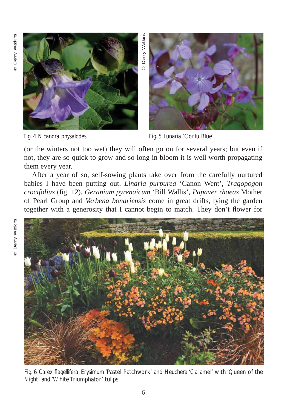



Fig. 4 *Nicandra physalodes* Fig. 5 *Lunaria* 'Corfu Blue'

(or the winters not too wet) they will often go on for several years; but even if not, they are so quick to grow and so long in bloom it is well worth propagating them every year.

After a year of so, self-sowing plants take over from the carefully nurtured babies I have been putting out. *Linaria purpurea* 'Canon Went', *Tragopogon crocifolius* (fig. 12), *Geranium pyrenaicum* 'Bill Wallis', *Papaver rhoeas* Mother of Pearl Group and *Verbena bonariensis* come in great drifts, tying the garden together with a generosity that I cannot begin to match. They don't flower for



Fig. 6 *Carex flagellifera*, *Erysimum* 'Pastel Patchwork' and *Heuchera* 'Caramel' with 'Queen of the Night' and 'White Triumphator' tulips.

6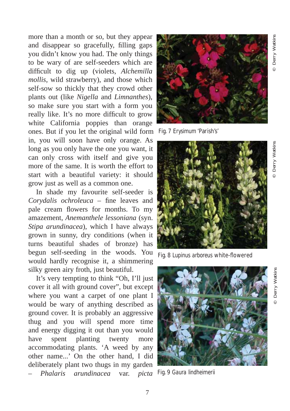© Derry Watkins

Derry Watkins

more than a month or so, but they appear and disappear so gracefully, filling gaps you didn't know you had. The only things to be wary of are self-seeders which are difficult to dig up (violets, *Alchemilla mollis*, wild strawberry), and those which self-sow so thickly that they crowd other plants out (like *Nigella* and *Limnanthes*), so make sure you start with a form you really like. It's no more difficult to grow white California poppies than orange ones. But if you let the original wild form Fig. 7 *Erysimum* 'Parish's' in, you will soon have only orange. As long as you only have the one you want, it can only cross with itself and give you more of the same. It is worth the effort to start with a beautiful variety: it should grow just as well as a common one.

In shade my favourite self-seeder is *Corydalis ochroleuca* – fine leaves and pale cream flowers for months. To my amazement, *Anemanthele lessoniana* (syn. *Stipa arundinacea*), which I have always grown in sunny, dry conditions (when it turns beautiful shades of bronze) has begun self-seeding in the woods. You would hardly recognise it, a shimmering silky green airy froth, just beautiful.

It's very tempting to think "Oh, I'll just cover it all with ground cover", but except where you want a carpet of one plant I would be wary of anything described as ground cover. It is probably an aggressive thug and you will spend more time and energy digging it out than you would have spent planting twenty more accommodating plants. 'A weed by any other name...' On the other hand, I did deliberately plant two thugs in my garden – *Phalaris arundinacea* var. *picta*





Fig. 8 *Lupinus arboreus* white-flowered



Fig. 9 *Gaura lindheimerii*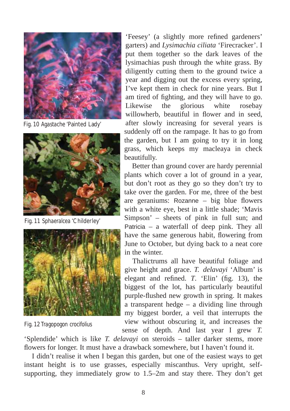

Fig. 10 *Agastach*e 'Painted Lady'



Fig. 11 *Sphaeralcea* 'Childerley'



Fig. 12 *Tragopogon crocifolius*

'Feesey' (a slightly more refined gardeners' garters) and *Lysimachia ciliata* 'Firecracker'. I put them together so the dark leaves of the lysimachias push through the white grass. By diligently cutting them to the ground twice a year and digging out the excess every spring, I've kept them in check for nine years. But I am tired of fighting, and they will have to go. Likewise the glorious white rosebay willowherb, beautiful in flower and in seed. after slowly increasing for several years is suddenly off on the rampage. It has to go from the garden, but I am going to try it in long grass, which keeps my macleaya in check beautifully.

Better than ground cover are hardy perennial plants which cover a lot of ground in a year, but don't root as they go so they don't try to take over the garden. For me, three of the best are geraniums: Rozanne – big blue flowers with a white eye, best in a little shade; 'Mavis Simpson' – sheets of pink in full sun; and Patricia – a waterfall of deep pink. They all have the same generous habit, flowering from June to October, but dying back to a neat core in the winter.

Thalictrums all have beautiful foliage and give height and grace. *T. delavayi* 'Album' is elegant and refined. *T*. 'Elin' (fig. 13), the biggest of the lot, has particularly beautiful purple-flushed new growth in spring. It makes a transparent hedge – a dividing line through my biggest border, a veil that interrupts the view without obscuring it, and increases the sense of depth. And last year I grew *T.*

'Splendide' which is like *T. delavayi* on steroids – taller darker stems, more flowers for longer. It must have a drawback somewhere, but I haven't found it.

I didn't realise it when I began this garden, but one of the easiest ways to get instant height is to use grasses, especially miscanthus. Very upright, selfsupporting, they immediately grow to 1.5–2m and stay there. They don't get